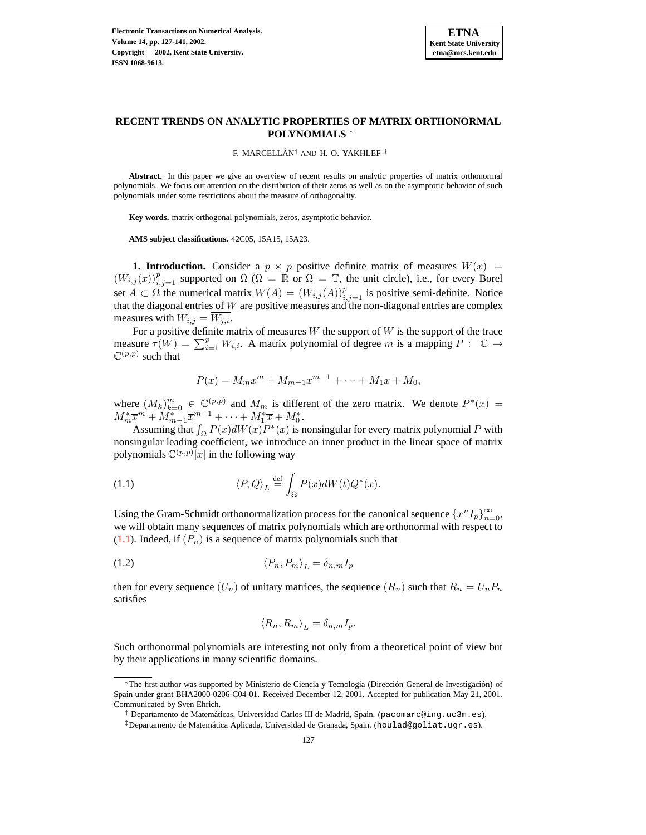

# **RECENT TRENDS ON ANALYTIC PROPERTIES OF MATRIX ORTHONORMAL POLYNOMIALS** <sup>∗</sup>

F. MARCELLÁN<sup>†</sup> AND H. O. YAKHLEF<sup>‡</sup>

**Abstract.** In this paper we give an overview of recent results on analytic properties of matrix orthonormal polynomials. We focus our attention on the distribution of their zeros as well as on the asymptotic behavior of such polynomials under some restrictions about the measure of orthogonality.

**Key words.** matrix orthogonal polynomials, zeros, asymptotic behavior.

**AMS subject classifications.** 42C05, 15A15, 15A23.

**1. Introduction.** Consider a  $p \times p$  positive definite matrix of measures  $W(x)$  =  $(W_{i,j}(x))_{i,j=1}^p$  supported on  $\Omega$  ( $\Omega = \mathbb{R}$  or  $\Omega = \mathbb{T}$ , the unit circle), i.e., for every Borel set  $A \subset \Omega$  the numerical matrix  $W(A) = (W_{i,j}(A))_{i,j=1}^p$  is positive semi-definite. Notice that the diagonal entries of  $W$  are positive measures and the non-diagonal entries are complex measures with  $W_{i,j} = \overline{W_{j,i}}$ .

For a positive definite matrix of measures  $W$  the support of  $W$  is the support of the trace measure  $\tau(W) = \sum_{i=1}^p W_{i,i}$ . A matrix polynomial of degree m is a mapping  $P: \mathbb{C} \to \mathbb{C}$  $\mathbb{C}^{(p,p)}$  such that

<span id="page-0-0"></span>
$$
P(x) = M_m x^m + M_{m-1} x^{m-1} + \dots + M_1 x + M_0,
$$

where  $(M_k)_{k=0}^m \in \mathbb{C}^{(p,p)}$  and  $M_m$  is different of the zero matrix. We denote  $P^*(x)$  =  $M_m^* \overline{x}^m + M_{m-1}^* \overline{x}^{m-1} + \cdots + M_1^* \overline{x} + M_0^*.$ 

Assuming that  $\int_{\Omega} P(x) dW(x) P^{*}(x)$  is nonsingular for every matrix polynomial P with nonsingular leading coefficient, we introduce an inner product in the linear space of matrix polynomials  $\mathbb{C}^{(p,p)}[x]$  in the following way

(1.1) 
$$
\langle P, Q \rangle_L \stackrel{\text{def}}{=} \int_{\Omega} P(x) dW(t) Q^*(x).
$$

Using the Gram-Schmidt orthonormalization process for the canonical sequence  $\{x^n I_p\}_{n=0}^{\infty}$ , we will obtain many sequences of matrix polynomials which are orthonormal with respect to  $(1.1)$ . Indeed, if  $(P_n)$  is a sequence of matrix polynomials such that

$$
\langle P_n, P_m \rangle_L = \delta_{n,m} I_p
$$

then for every sequence  $(U_n)$  of unitary matrices, the sequence  $(R_n)$  such that  $R_n = U_n P_n$ satisfies

$$
\langle R_n, R_m \rangle_L = \delta_{n,m} I_p.
$$

Such orthonormal polynomials are interesting not only from a theoretical point of view but by their applications in many scientific domains.

<sup>\*</sup>The first author was supported by Ministerio de Ciencia y Tecnología (Dirección General de Investigación) of Spain under grant BHA2000-0206-C04-01. Received December 12, 2001. Accepted for publication May 21, 2001. Communicated by Sven Ehrich.

<sup>&</sup>lt;sup>†</sup> Departamento de Matemáticas, Universidad Carlos III de Madrid, Spain. (pacomarc@ing.uc3m.es).

 $\ddagger$ Departamento de Matemática Aplicada, Universidad de Granada, Spain. (houlad@goliat.ugr.es).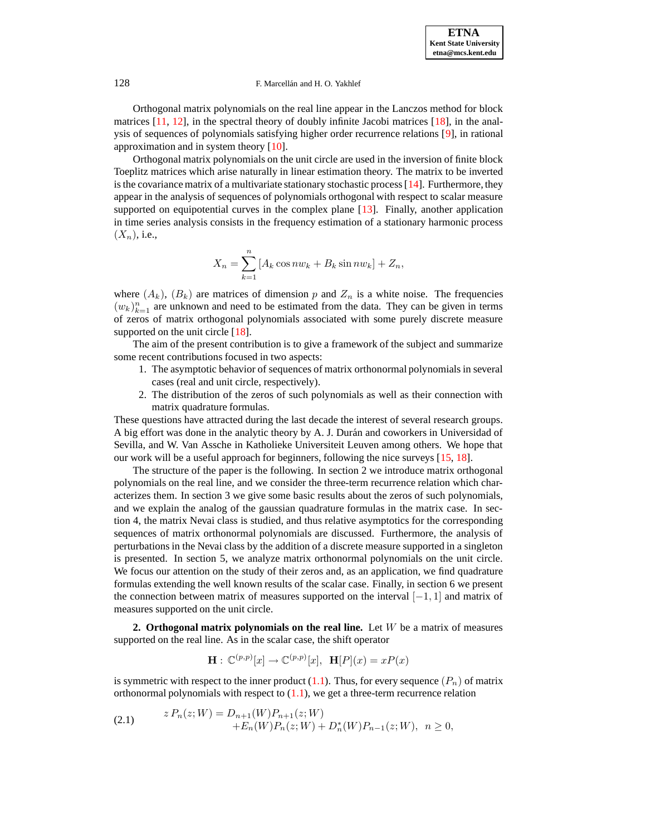Orthogonal matrix polynomials on the real line appear in the Lanczos method for block matrices [\[11,](#page-13-0) [12\]](#page-13-1), in the spectral theory of doubly infinite Jacobi matrices [\[18\]](#page-14-0), in the analysis of sequences of polynomials satisfying higher order recurrence relations [\[9\]](#page-13-2), in rational approximation and in system theory [\[10\]](#page-13-3).

Orthogonal matrix polynomials on the unit circle are used in the inversion of finite block Toeplitz matrices which arise naturally in linear estimation theory. The matrix to be inverted is the covariance matrix of a multivariate stationary stochastic process [\[14\]](#page-13-4). Furthermore, they appear in the analysis of sequences of polynomials orthogonal with respect to scalar measure supported on equipotential curves in the complex plane [\[13\]](#page-13-5). Finally, another application in time series analysis consists in the frequency estimation of a stationary harmonic process  $(X_n)$ , i.e.,

$$
X_n = \sum_{k=1}^n [A_k \cos n w_k + B_k \sin n w_k] + Z_n,
$$

where  $(A_k)$ ,  $(B_k)$  are matrices of dimension p and  $Z_n$  is a white noise. The frequencies  $(w_k)_{k=1}^n$  are unknown and need to be estimated from the data. They can be given in terms of zeros of matrix orthogonal polynomials associated with some purely discrete measure supported on the unit circle [\[18\]](#page-14-0).

The aim of the present contribution is to give a framework of the subject and summarize some recent contributions focused in two aspects:

- 1. The asymptotic behavior of sequences of matrix orthonormal polynomials in several cases (real and unit circle, respectively).
- 2. The distribution of the zeros of such polynomials as well as their connection with matrix quadrature formulas.

These questions have attracted during the last decade the interest of several research groups. A big effort was done in the analytic theory by A. J. Durán and coworkers in Universidad of Sevilla, and W. Van Assche in Katholieke Universiteit Leuven among others. We hope that our work will be a useful approach for beginners, following the nice surveys [\[15,](#page-13-6) [18\]](#page-14-0).

The structure of the paper is the following. In section 2 we introduce matrix orthogonal polynomials on the real line, and we consider the three-term recurrence relation which characterizes them. In section 3 we give some basic results about the zeros of such polynomials, and we explain the analog of the gaussian quadrature formulas in the matrix case. In section 4, the matrix Nevai class is studied, and thus relative asymptotics for the corresponding sequences of matrix orthonormal polynomials are discussed. Furthermore, the analysis of perturbations in the Nevai class by the addition of a discrete measure supported in a singleton is presented. In section 5, we analyze matrix orthonormal polynomials on the unit circle. We focus our attention on the study of their zeros and, as an application, we find quadrature formulas extending the well known results of the scalar case. Finally, in section 6 we present the connection between matrix of measures supported on the interval  $[-1, 1]$  and matrix of measures supported on the unit circle.

<span id="page-1-1"></span>**2. Orthogonal matrix polynomials on the real line.** Let W be a matrix of measures supported on the real line. As in the scalar case, the shift operator

<span id="page-1-0"></span>
$$
\mathbf{H}: \mathbb{C}^{(p,p)}[x] \to \mathbb{C}^{(p,p)}[x], \ \mathbf{H}[P](x) = xP(x)
$$

is symmetric with respect to the inner product  $(1.1)$ . Thus, for every sequence  $(P_n)$  of matrix orthonormal polynomials with respect to  $(1.1)$ , we get a three-term recurrence relation

(2.1) 
$$
z P_n(z;W) = D_{n+1}(W) P_{n+1}(z;W) + E_n(W) P_n(z;W) + D_n^*(W) P_{n-1}(z;W), \quad n \ge 0,
$$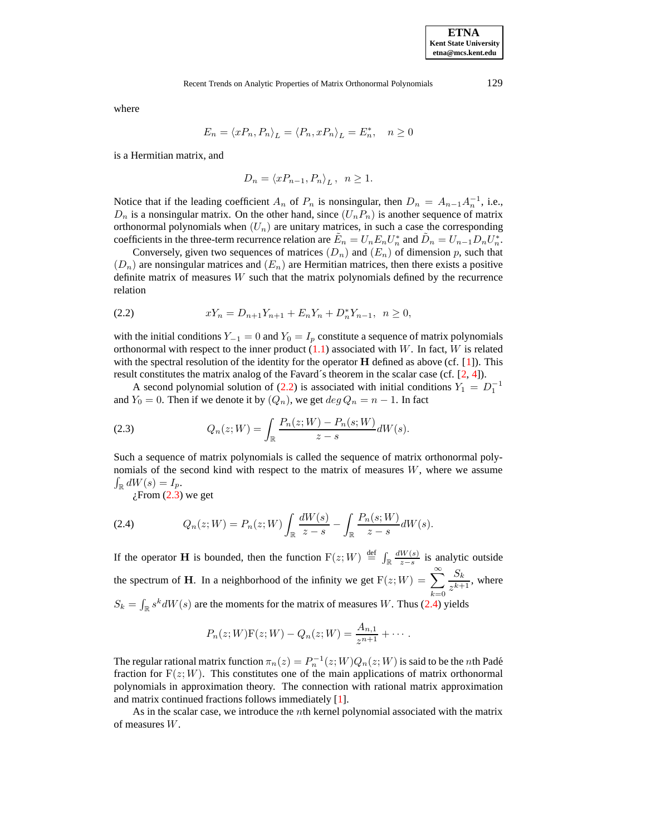where

$$
E_n = \langle xP_n, P_n \rangle_L = \langle P_n, xP_n \rangle_L = E_n^*, \quad n \ge 0
$$

is a Hermitian matrix, and

<span id="page-2-1"></span>
$$
D_n = \langle xP_{n-1}, P_n \rangle_L, \ \ n \ge 1.
$$

Notice that if the leading coefficient  $A_n$  of  $P_n$  is nonsingular, then  $D_n = A_{n-1}A_n^{-1}$ , i.e.,  $D_n$  is a nonsingular matrix. On the other hand, since  $(U_nP_n)$  is another sequence of matrix orthonormal polynomials when  $(U_n)$  are unitary matrices, in such a case the corresponding coefficients in the three-term recurrence relation are  $\tilde{E}_n = U_n E_n U_n^*$  and  $\tilde{D}_n = U_{n-1} D_n U_n^*$ .

<span id="page-2-0"></span>Conversely, given two sequences of matrices  $(D_n)$  and  $(E_n)$  of dimension p, such that  $(D_n)$  are nonsingular matrices and  $(E_n)$  are Hermitian matrices, then there exists a positive definite matrix of measures  $W$  such that the matrix polynomials defined by the recurrence relation

(2.2) 
$$
xY_n = D_{n+1}Y_{n+1} + E_n Y_n + D_n^* Y_{n-1}, \ \ n \ge 0,
$$

with the initial conditions  $Y_{-1} = 0$  and  $Y_0 = I_p$  constitute a sequence of matrix polynomials orthonormal with respect to the inner product  $(1.1)$  associated with W. In fact, W is related with the spectral resolution of the identity for the operator  $H$  defined as above (cf. [\[1\]](#page-13-7)). This result constitutes the matrix analog of the Favard´s theorem in the scalar case (cf.  $[2, 4]$  $[2, 4]$  $[2, 4]$ ).

A second polynomial solution of [\(2.2\)](#page-2-0) is associated with initial conditions  $Y_1 = D_1^{-1}$ and  $Y_0 = 0$ . Then if we denote it by  $(Q_n)$ , we get  $deg Q_n = n - 1$ . In fact

(2.3) 
$$
Q_n(z;W) = \int_{\mathbb{R}} \frac{P_n(z;W) - P_n(s;W)}{z - s} dW(s).
$$

Such a sequence of matrix polynomials is called the sequence of matrix orthonormal polynomials of the second kind with respect to the matrix of measures  $W$ , where we assume  $\int_{\mathbb{R}} dW(s) = I_p.$ 

<span id="page-2-2"></span> $i$ From [\(2.3\)](#page-2-1) we get

(2.4) 
$$
Q_n(z;W) = P_n(z;W) \int_{\mathbb{R}} \frac{dW(s)}{z-s} - \int_{\mathbb{R}} \frac{P_n(s;W)}{z-s} dW(s).
$$

If the operator **H** is bounded, then the function  $F(z;W) \stackrel{\text{def}}{=} \int_{\mathbb{R}} \frac{dW(s)}{z-s}$  $\frac{W(s)}{z-s}$  is analytic outside the spectrum of **H**. In a neighborhood of the infinity we get  $F(z;W) = \sum_{n=1}^{\infty}$  $k=0$  $S_k$  $\frac{\sum_{k=1}^{k} x_k}{z^{k+1}}$ , where  $S_k = \int_{\mathbb{R}} s^k dW(s)$  are the moments for the matrix of measures W. Thus [\(2.4\)](#page-2-2) yields

$$
P_n(z;W)F(z;W) - Q_n(z;W) = \frac{A_{n,1}}{z^{n+1}} + \cdots
$$

The regular rational matrix function  $\pi_n(z) = P_n^{-1}(z;W)Q_n(z;W)$  is said to be the *n*th Padé fraction for  $F(z;W)$ . This constitutes one of the main applications of matrix orthonormal polynomials in approximation theory. The connection with rational matrix approximation and matrix continued fractions follows immediately [\[1\]](#page-13-7).

<span id="page-2-3"></span>As in the scalar case, we introduce the nth kernel polynomial associated with the matrix of measures W.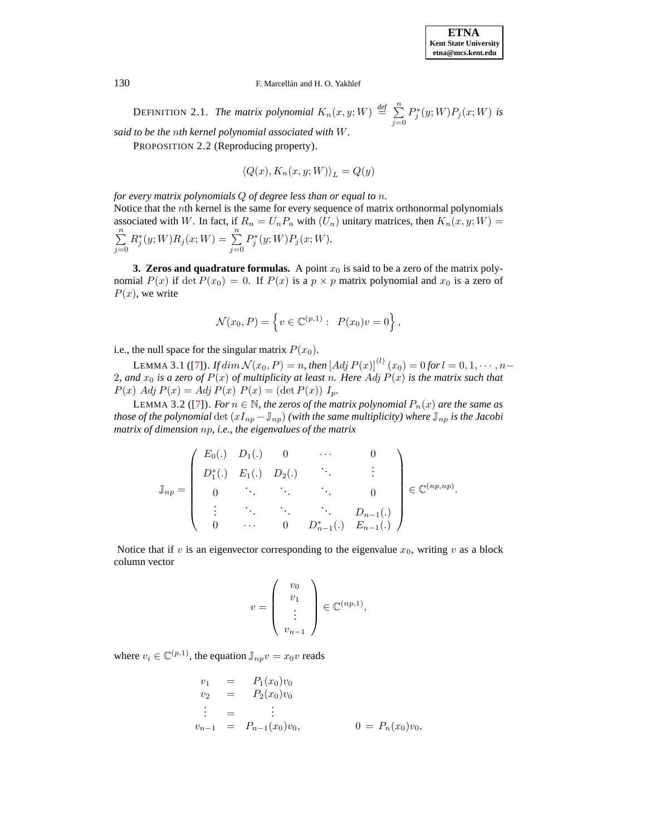

DEFINITION 2.1. *The matrix polynomial*  $K_n(x, y; W) \stackrel{\text{def}}{=} \sum_{n=1}^{\infty}$  $j=0$  $P_j^*(y;W)P_j(x;W)$  is *said to be the* n*th kernel polynomial associated with* W*.*

PROPOSITION 2.2 (Reproducing property).

 $\langle Q(x), K_n(x, y; W) \rangle_L = Q(y)$ 

*for every matrix polynomials* Q *of degree less than or equal to* n*.*

Notice that the nth kernel is the same for every sequence of matrix orthonormal polynomials associated with W. In fact, if  $R_n = U_n P_n$  with  $(U_n)$  unitary matrices, then  $K_n(x, y; W) =$  $\sum_{n=1}^{\infty}$  $j=0$  $R_j^*(y;W)R_j(x;W) = \sum_{i=1}^n$  $j=0$  $P_j^*(y; W) P_j(x; W).$ 

**3. Zeros and quadrature formulas.** A point  $x_0$  is said to be a zero of the matrix polynomial  $P(x)$  if det  $P(x_0) = 0$ . If  $P(x)$  is a  $p \times p$  matrix polynomial and  $x_0$  is a zero of  $P(x)$ , we write

$$
\mathcal{N}(x_0, P) = \left\{ v \in \mathbb{C}^{(p,1)} : P(x_0)v = 0 \right\},\
$$

i.e., the null space for the singular matrix  $P(x_0)$ .

LEMMA 3.1 ([\[7\]](#page-13-10)). *If*  $dim \mathcal{N}(x_0, P) = n$ , then  $[Adj P(x)]^{(l)}(x_0) = 0$  for  $l = 0, 1, \dots, n-$ 2, and  $x_0$  *is a zero of*  $P(x)$  *of multiplicity at least n. Here* Adj  $P(x)$  *is the matrix such that*  $P(x)$  Adj  $P(x) =$  Adj  $P(x)$   $P(x) = (\det P(x)) I_p$ .

LEMMA 3.2 ([\[7\]](#page-13-10)). *For*  $n \in \mathbb{N}$ *, the zeros of the matrix polynomial*  $P_n(x)$  *are the same as those of the polynomial* det  $(xI_{np} - J_{np})$  *(with the same multiplicity)* where  $J_{np}$  *is the Jacobi matrix of dimension* np*, i.e., the eigenvalues of the matrix*

$$
\mathbb{J}_{np} = \left( \begin{array}{cccc} E_0(.) & D_1(.) & 0 & \cdots & 0 \\ D_1^*(.) & E_1(.) & D_2(.) & \ddots & \vdots \\ 0 & \ddots & \ddots & \ddots & 0 \\ \vdots & \ddots & \ddots & \ddots & D_{n-1}(.) \\ 0 & \cdots & 0 & D_{n-1}^*(.) & E_{n-1}(.) \end{array} \right) \in \mathbb{C}^{(np,np)}.
$$

Notice that if v is an eigenvector corresponding to the eigenvalue  $x_0$ , writing v as a block column vector

$$
v = \left(\begin{array}{c} v_0 \\ v_1 \\ \vdots \\ v_{n-1} \end{array}\right) \in \mathbb{C}^{(np,1)},
$$

where  $v_i \in \mathbb{C}^{(p,1)}$ , the equation  $\mathbb{J}_{np}v = x_0v$  reads

$$
v_1 = P_1(x_0)v_0
$$
  
\n
$$
v_2 = P_2(x_0)v_0
$$
  
\n
$$
\vdots = \vdots
$$
  
\n
$$
v_{n-1} = P_{n-1}(x_0)v_0,
$$
  
\n
$$
0 = P_n(x_0)v_0,
$$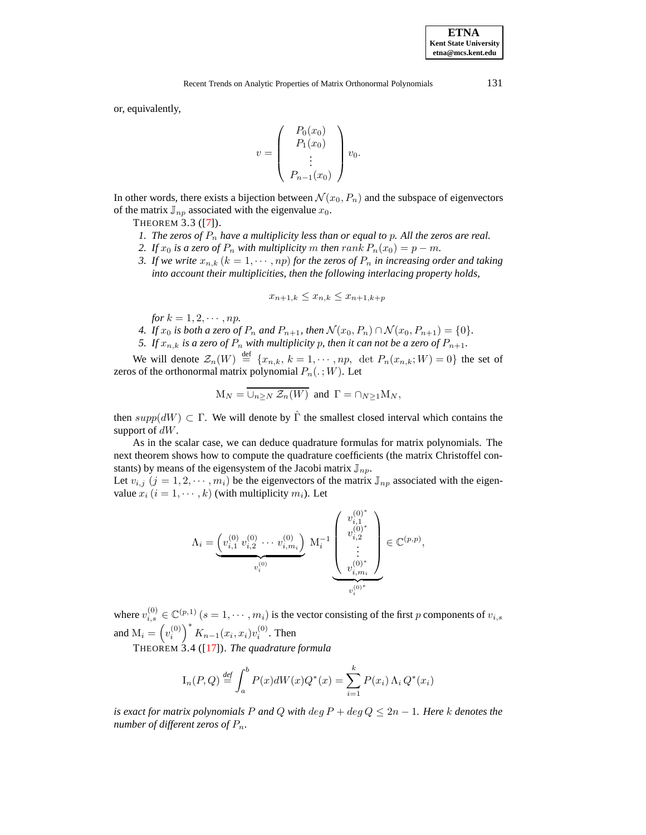**ETNA**

or, equivalently,

$$
v = \begin{pmatrix} P_0(x_0) \\ P_1(x_0) \\ \vdots \\ P_{n-1}(x_0) \end{pmatrix} v_0.
$$

<span id="page-4-0"></span>In other words, there exists a bijection between  $\mathcal{N}(x_0, P_n)$  and the subspace of eigenvectors of the matrix  $\mathbb{J}_{np}$  associated with the eigenvalue  $x_0$ .

THEOREM 3.3 ([\[7\]](#page-13-10)).

- *1.* The zeros of  $P_n$  have a multiplicity less than or equal to p. All the zeros are real.
- *2. If*  $x_0$  *is a zero of*  $P_n$  *with multiplicity*  $m$  *then*  $rank P_n(x_0) = p m$ *.*
- *3. If* we write  $x_{n,k}$  ( $k = 1, \dots, np$ ) for the zeros of  $P_n$  *in increasing order and taking into account their multiplicities, then the following interlacing property holds,*

$$
x_{n+1,k} \le x_{n,k} \le x_{n+1,k+p}
$$

*for*  $k = 1, 2, \cdots, np$ .

- *4. If*  $x_0$  *is both a zero of*  $P_n$  *and*  $P_{n+1}$ *, then*  $\mathcal{N}(x_0, P_n) \cap \mathcal{N}(x_0, P_{n+1}) = \{0\}$ *.*
- *5. If*  $x_{n,k}$  *is a zero of*  $P_n$  *with multiplicity p, then it can not be a zero of*  $P_{n+1}$ *.*

We will denote  $\mathcal{Z}_n(W) \stackrel{\text{def}}{=} \{x_{n,k}, k = 1, \cdots, np, \text{ det } P_n(x_{n,k}; W) = 0\}$  the set of zeros of the orthonormal matrix polynomial  $P_n(.;W)$ . Let

$$
M_N = \overline{\cup_{n \geq N} \mathcal{Z}_n(W)}
$$
 and  $\Gamma = \cap_{N \geq 1} M_N$ ,

then  $supp(dW) \subset \Gamma$ . We will denote by  $\hat{\Gamma}$  the smallest closed interval which contains the support of  $dW$ .

As in the scalar case, we can deduce quadrature formulas for matrix polynomials. The next theorem shows how to compute the quadrature coefficients (the matrix Christoffel constants) by means of the eigensystem of the Jacobi matrix  $\mathbb{J}_{np}$ .

Let  $v_{i,j}$   $(j = 1, 2, \dots, m_i)$  be the eigenvectors of the matrix  $\mathbb{J}_{np}$  associated with the eigenvalue  $x_i$   $(i = 1, \dots, k)$  (with multiplicity  $m_i$ ). Let

$$
\Lambda_i = \underbrace{\left( v_{i,1}^{(0)} \ v_{i,2}^{(0)} \ \cdots \ v_{i,m_i}^{(0)} \right)}_{v_i^{(0)}} \ \ M_i^{-1} \underbrace{\left( \begin{array}{c} v_{i,1}^{(0)^*} \\ v_{i,2}^{(0)^*} \\ \vdots \\ v_{i,m_i}^{(0)^*} \end{array} \right)}_{v_i^{(0)^*}} \in \mathbb{C}^{(p,p)},
$$

where  $v_{i,s}^{(0)} \in \mathbb{C}^{(p,1)}$   $(s = 1, \dots, m_i)$  is the vector consisting of the first p components of  $v_{i,s}$ and  $M_i = \left(v_i^{(0)}\right)^* K_{n-1}(x_i, x_i)v_i^{(0)}$ . Then

THEOREM 3.4 ([\[17\]](#page-14-1)). *The quadrature formula*

$$
I_n(P,Q) \stackrel{\text{def}}{=} \int_a^b P(x)dW(x)Q^*(x) = \sum_{i=1}^k P(x_i) \Lambda_i Q^*(x_i)
$$

*is exact for matrix polynomials* P *and* Q *with* deg  $P + \text{deg } Q \leq 2n - 1$ *. Here* k *denotes the number of different zeros of*  $P_n$ .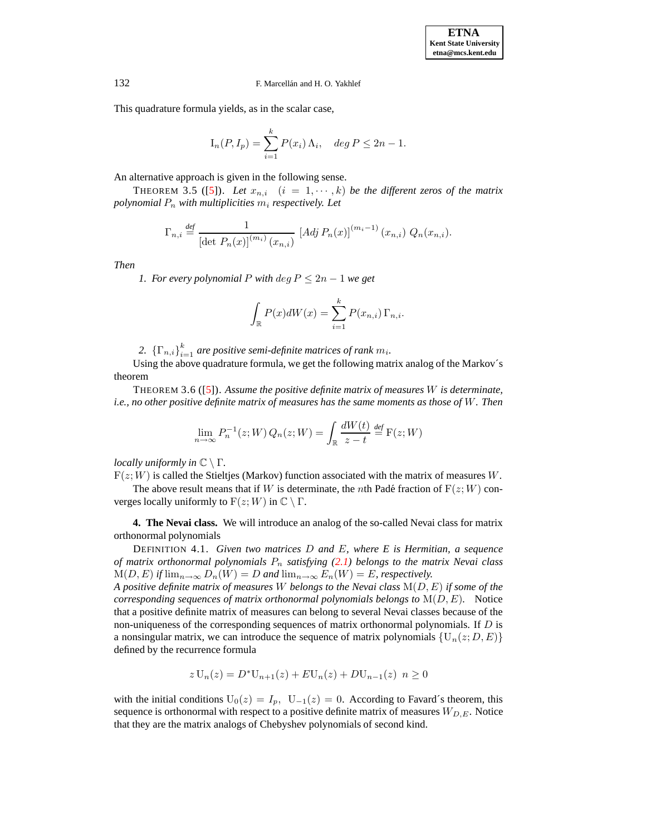This quadrature formula yields, as in the scalar case,

$$
I_n(P, I_p) = \sum_{i=1}^k P(x_i) \Lambda_i, \quad \deg P \le 2n - 1.
$$

An alternative approach is given in the following sense.

THEOREM 3.5 ([\[5\]](#page-13-11)). Let  $x_{n,i}$   $(i = 1, \dots, k)$  be the different zeros of the matrix *polynomial*  $P_n$  *with multiplicities*  $m_i$  *respectively. Let* 

$$
\Gamma_{n,i} \stackrel{\text{def}}{=} \frac{1}{\left[ \det P_n(x) \right]^{(m_i)} (x_{n,i})} \left[ Adj P_n(x) \right]^{(m_i - 1)} (x_{n,i}) Q_n(x_{n,i}).
$$

*Then*

*1. For every polynomial*  $P$  *with*  $\deg P \leq 2n - 1$  *we get* 

$$
\int_{\mathbb{R}} P(x)dW(x) = \sum_{i=1}^{k} P(x_{n,i}) \Gamma_{n,i}.
$$

2.  ${\{\Gamma_{n,i}\}}_{i=1}^k$  *are positive semi-definite matrices of rank*  $m_i$ .

Using the above quadrature formula, we get the following matrix analog of the Markov´s theorem

THEOREM 3.6 ([\[5\]](#page-13-11)). *Assume the positive definite matrix of measures* W *is determinate, i.e., no other positive definite matrix of measures has the same moments as those of* W*. Then*

$$
\lim_{n \to \infty} P_n^{-1}(z; W) Q_n(z; W) = \int_{\mathbb{R}} \frac{dW(t)}{z - t} \stackrel{def}{=} F(z; W)
$$

*locally uniformly in*  $\mathbb{C} \setminus \Gamma$ *.* 

 $F(z;W)$  is called the Stieltjes (Markov) function associated with the matrix of measures W.

The above result means that if W is determinate, the nth Padé fraction of  $F(z; W)$  converges locally uniformly to  $F(z; W)$  in  $\mathbb{C} \setminus \Gamma$ .

**4. The Nevai class.** We will introduce an analog of the so-called Nevai class for matrix orthonormal polynomials

DEFINITION 4.1. *Given two matrices* D *and* E*, where E is Hermitian, a sequence of matrix orthonormal polynomials*  $P_n$  *satisfying* [\(2.1\)](#page-1-0) *belongs to the matrix Nevai class*  $M(D, E)$  *if*  $\lim_{n\to\infty} D_n(W) = D$  *and*  $\lim_{n\to\infty} E_n(W) = E$ *, respectively.* 

*A positive definite matrix of measures* W *belongs to the Nevai class* M(D, E) *if some of the corresponding sequences of matrix orthonormal polynomials belongs to* M(D, E)*.* Notice that a positive definite matrix of measures can belong to several Nevai classes because of the non-uniqueness of the corresponding sequences of matrix orthonormal polynomials. If  $D$  is a nonsingular matrix, we can introduce the sequence of matrix polynomials  $\{U_n(z; D, E)\}\$ defined by the recurrence formula

$$
z U_n(z) = D^* U_{n+1}(z) + E U_n(z) + D U_{n-1}(z) \ \ n \ge 0
$$

with the initial conditions  $U_0(z) = I_p$ ,  $U_{-1}(z) = 0$ . According to Favard´s theorem, this sequence is orthonormal with respect to a positive definite matrix of measures  $W_{D,E}$ . Notice that they are the matrix analogs of Chebyshev polynomials of second kind.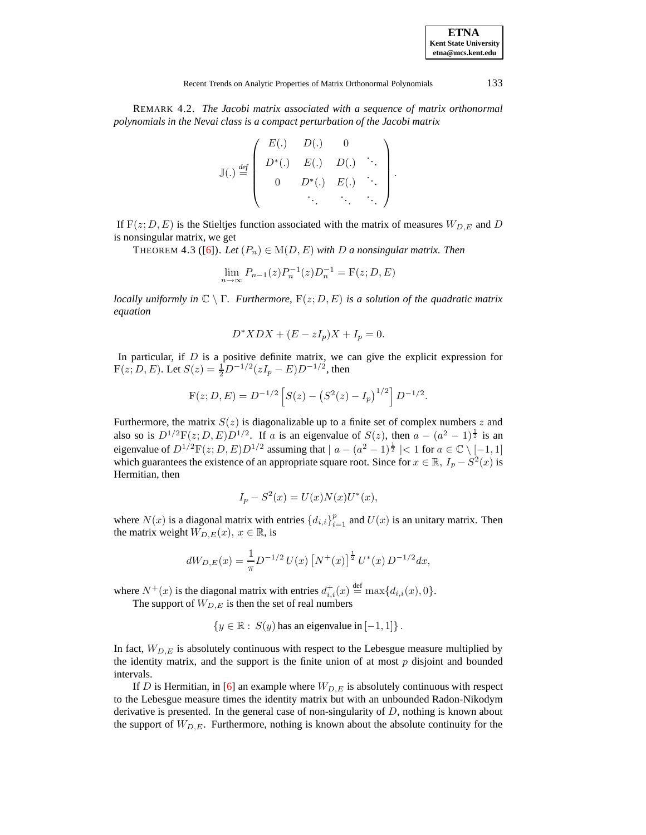| <b>ETNA</b>                  |
|------------------------------|
| <b>Kent State University</b> |
| etna@mcs.kent.edu            |

REMARK 4.2. *The Jacobi matrix associated with a sequence of matrix orthonormal polynomials in the Nevai class is a compact perturbation of the Jacobi matrix*

$$
\mathbb{J}(.) \stackrel{def}{=} \left( \begin{array}{cccc} E(.) & D(.) & 0 \\ D^*(.) & E(.) & D(.) & \cdots \\ 0 & D^*(.) & E(.) & \cdots \\ \vdots & \vdots & \ddots & \vdots \end{array} \right).
$$

If  $F(z; D, E)$  is the Stieltjes function associated with the matrix of measures  $W_{D,E}$  and D is nonsingular matrix, we get

THEOREM 4.3 ([\[6\]](#page-13-12)). Let  $(P_n) \in M(D, E)$  with D a nonsingular matrix. Then

$$
\lim_{n \to \infty} P_{n-1}(z) P_n^{-1}(z) D_n^{-1} = F(z; D, E)
$$

*locally uniformly in*  $\mathbb{C} \setminus \Gamma$ *. Furthermore,*  $F(z; D, E)$  *is a solution of the quadratic matrix equation*

$$
D^*XDX + (E - zI_p)X + I_p = 0.
$$

In particular, if  $D$  is a positive definite matrix, we can give the explicit expression for  $F(z; D, E)$ . Let  $S(z) = \frac{1}{2}D^{-1/2}(zI_p - E)D^{-1/2}$ , then

$$
F(z; D, E) = D^{-1/2} \left[ S(z) - (S^2(z) - I_p)^{1/2} \right] D^{-1/2}.
$$

Furthermore, the matrix  $S(z)$  is diagonalizable up to a finite set of complex numbers z and also so is  $D^{1/2}F(z;D,E)D^{1/2}$ . If a is an eigenvalue of  $S(z)$ , then  $a - (a^2 - 1)^{\frac{1}{2}}$  is an eigenvalue of  $D^{1/2}\mathcal{F}(z;D,E)D^{1/2}$  assuming that  $|a-(a^2-1)^{\frac{1}{2}}|<1$  for  $a\in\mathbb{C}\setminus[-1,1]$ which guarantees the existence of an appropriate square root. Since for  $x \in \mathbb{R}$ ,  $I_p - S^2(x)$  is Hermitian, then

$$
I_p - S^2(x) = U(x)N(x)U^*(x),
$$

where  $N(x)$  is a diagonal matrix with entries  $\{d_{i,i}\}_{i=1}^p$  and  $U(x)$  is an unitary matrix. Then the matrix weight  $W_{D,E}(x)$ ,  $x \in \mathbb{R}$ , is

$$
dW_{D,E}(x) = \frac{1}{\pi} D^{-1/2} U(x) \left[ N^+(x) \right]^{\frac{1}{2}} U^*(x) D^{-1/2} dx,
$$

where  $N^+(x)$  is the diagonal matrix with entries  $d_{i,i}^+(x) \stackrel{\text{def}}{=} \max\{d_{i,i}(x), 0\}.$ The support of  $W_{D,E}$  is then the set of real numbers

$$
\{y \in \mathbb{R} : S(y) \text{ has an eigenvalue in } [-1,1] \}.
$$

In fact,  $W_{D,E}$  is absolutely continuous with respect to the Lebesgue measure multiplied by the identity matrix, and the support is the finite union of at most  $p$  disjoint and bounded intervals.

If D is Hermitian, in [\[6\]](#page-13-12) an example where  $W_{D,E}$  is absolutely continuous with respect to the Lebesgue measure times the identity matrix but with an unbounded Radon-Nikodym derivative is presented. In the general case of non-singularity of  $D$ , nothing is known about the support of  $W_{D,E}$ . Furthermore, nothing is known about the absolute continuity for the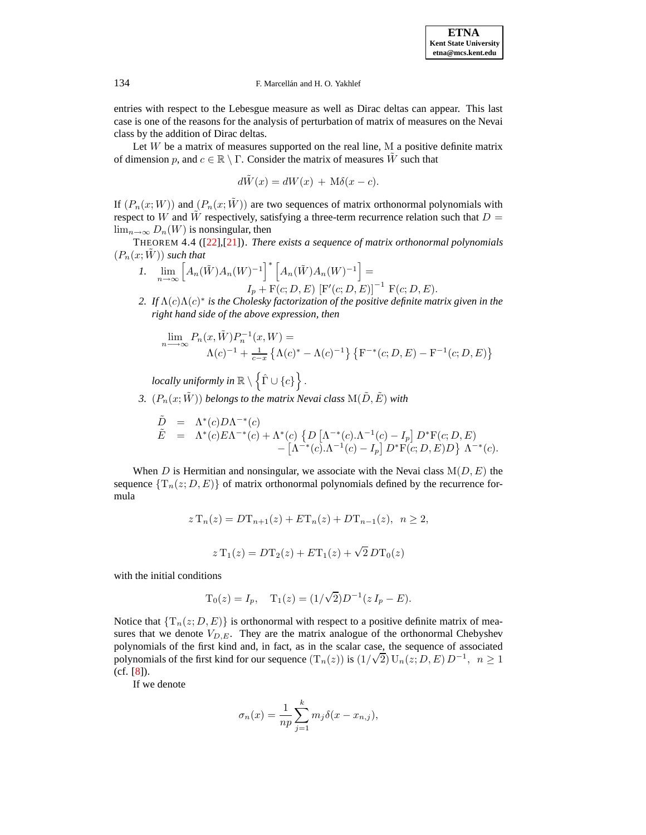entries with respect to the Lebesgue measure as well as Dirac deltas can appear. This last case is one of the reasons for the analysis of perturbation of matrix of measures on the Nevai class by the addition of Dirac deltas.

Let  $W$  be a matrix of measures supported on the real line, M a positive definite matrix of dimension p, and  $c \in \mathbb{R} \setminus \Gamma$ . Consider the matrix of measures W such that

$$
d\tilde{W}(x) = dW(x) + M\delta(x - c).
$$

If  $(P_n(x;W))$  and  $(P_n(x;\tilde{W}))$  are two sequences of matrix orthonormal polynomials with respect to W and W respectively, satisfying a three-term recurrence relation such that  $D =$  $\lim_{n\to\infty} D_n(W)$  is nonsingular, then

THEOREM 4.4 ([\[22\]](#page-14-2),[\[21\]](#page-14-3)). *There exists a sequence of matrix orthonormal polynomials*  $(P_n(x;W))$  *such that* 

- *1.*  $\lim_{n \to \infty} [A_n(\tilde{W}) A_n(W)^{-1}]^* [A_n(\tilde{W}) A_n(W)^{-1}] =$  $I_p + F(c; D, E) [F'(c; D, E)]^{-1} F(c; D, E).$
- *2. If* Λ(c)Λ(c) ∗ *is the Cholesky factorization of the positive definite matrix given in the right hand side of the above expression, then*

$$
\lim_{n \to \infty} P_n(x, \tilde{W}) P_n^{-1}(x, W) =
$$
  
 
$$
\Lambda(c)^{-1} + \frac{1}{c-x} \left\{ \Lambda(c)^* - \Lambda(c)^{-1} \right\} \left\{ F^{-*}(c; D, E) - F^{-1}(c; D, E) \right\}
$$

 $\emph{locally uniformly in} \ \mathbb{R}\setminus\left\{\hat{\Gamma}\cup\left\{c\right\}\right\}.$ 

*3.*  $(P_n(x; \tilde{W}))$  *belongs to the matrix Nevai class*  $M(\tilde{D}, \tilde{E})$  *with* 

$$
\tilde{E} = \Lambda^*(c) D\Lambda^{-*}(c) \n\tilde{E} = \Lambda^*(c) E\Lambda^{-*}(c) + \Lambda^*(c) \left\{ D \left[ \Lambda^{-*}(c) . \Lambda^{-1}(c) - I_p \right] D^* F(c; D, E) - \left[ \Lambda^{-*}(c) . \Lambda^{-1}(c) - I_p \right] D^* F(c; D, E) D \right\} \Lambda^{-*}(c).
$$

When D is Hermitian and nonsingular, we associate with the Nevai class  $M(D, E)$  the sequence  $\{T_n(z; D, E)\}\$  of matrix orthonormal polynomials defined by the recurrence formula

$$
z T_n(z) = D T_{n+1}(z) + E T_n(z) + D T_{n-1}(z), \ \ n \ge 2,
$$
  

$$
z T_1(z) = D T_2(z) + E T_1(z) + \sqrt{2} D T_0(z)
$$

with the initial conditions

$$
T_0(z) = I_p
$$
,  $T_1(z) = (1/\sqrt{2})D^{-1}(zI_p - E)$ .

Notice that  $\{T_n(z; D, E)\}\$  is orthonormal with respect to a positive definite matrix of measures that we denote  $V_{D,E}$ . They are the matrix analogue of the orthonormal Chebyshev polynomials of the first kind and, in fact, as in the scalar case, the sequence of associated polynomials of the first kind for our sequence  $(T_n(z))$  is  $(1/\sqrt{2}) U_n(z; D, E) D^{-1}$ ,  $n \ge 1$ (cf. [\[8\]](#page-13-13)).

If we denote

$$
\sigma_n(x) = \frac{1}{np} \sum_{j=1}^k m_j \delta(x - x_{n,j}),
$$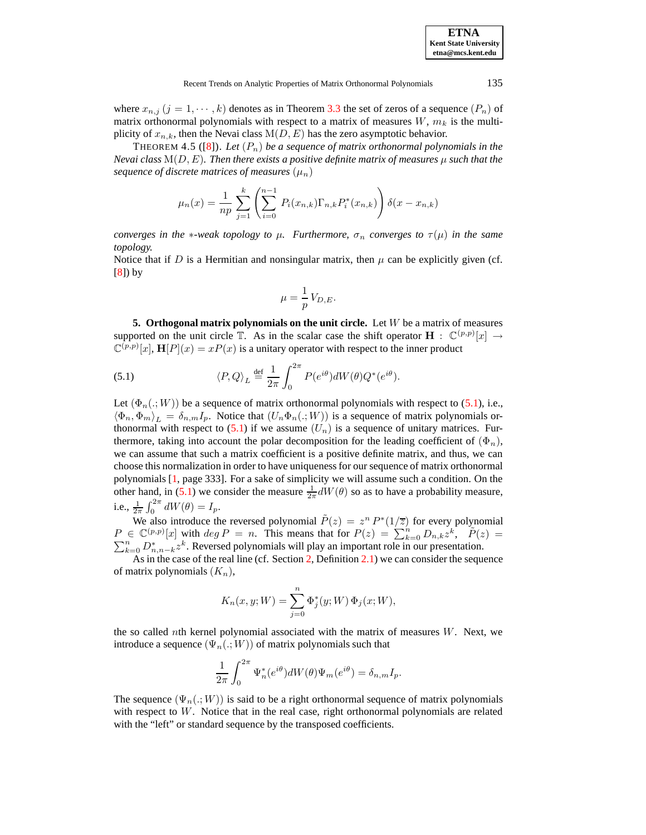| <b>ETNA</b>                  |
|------------------------------|
| <b>Kent State University</b> |
| etna@mcs.kent.edu            |

where  $x_{n,j}$   $(j = 1, \dots, k)$  denotes as in Theorem [3.3](#page-4-0) the set of zeros of a sequence  $(P_n)$  of matrix orthonormal polynomials with respect to a matrix of measures  $W, m_k$  is the multiplicity of  $x_{n,k}$ , then the Nevai class  $M(D, E)$  has the zero asymptotic behavior.

THEOREM 4.5 ([\[8\]](#page-13-13)). Let  $(P_n)$  be a sequence of matrix orthonormal polynomials in the *Nevai class*  $M(D, E)$ *. Then there exists a positive definite matrix of measures*  $\mu$  *such that the sequence of discrete matrices of measures*  $(\mu_n)$ 

$$
\mu_n(x) = \frac{1}{np} \sum_{j=1}^k \left( \sum_{i=0}^{n-1} P_i(x_{n,k}) \Gamma_{n,k} P_i^*(x_{n,k}) \right) \delta(x - x_{n,k})
$$

*converges in the* \**-weak topology to*  $\mu$ *. Furthermore,*  $\sigma_n$  *converges to*  $\tau(\mu)$  *in the same topology.*

Notice that if D is a Hermitian and nonsingular matrix, then  $\mu$  can be explicitly given (cf. [\[8\]](#page-13-13)) by

<span id="page-8-0"></span>
$$
\mu = \frac{1}{p} V_{D,E}.
$$

**5. Orthogonal matrix polynomials on the unit circle.** Let W be a matrix of measures supported on the unit circle  $\mathbb{T}$ . As in the scalar case the shift operator  $\mathbf{H} : \mathbb{C}^{(p,p)}[x] \rightarrow$  $\mathbb{C}^{(p,p)}[x]$ ,  $\mathbf{H}[P](x) = xP(x)$  is a unitary operator with respect to the inner product

(5.1) 
$$
\langle P, Q \rangle_L \stackrel{\text{def}}{=} \frac{1}{2\pi} \int_0^{2\pi} P(e^{i\theta}) dW(\theta) Q^*(e^{i\theta}).
$$

Let  $(\Phi_n(.; W))$  be a sequence of matrix orthonormal polynomials with respect to [\(5.1\)](#page-8-0), i.e.,  $\langle \Phi_n, \Phi_m \rangle_L = \delta_{n,m} I_p$ . Notice that  $(U_n \Phi_n(.; W))$  is a sequence of matrix polynomials orthonormal with respect to  $(5.1)$  if we assume  $(U_n)$  is a sequence of unitary matrices. Furthermore, taking into account the polar decomposition for the leading coefficient of  $(\Phi_n)$ , we can assume that such a matrix coefficient is a positive definite matrix, and thus, we can choose this normalization in order to have uniquenessfor our sequence of matrix orthonormal polynomials [\[1,](#page-13-7) page 333]. For a sake of simplicity we will assume such a condition. On the other hand, in [\(5.1\)](#page-8-0) we consider the measure  $\frac{1}{2\pi}dW(\theta)$  so as to have a probability measure, i.e.,  $\frac{1}{2\pi} \int_0^{2\pi} dW(\theta) = I_p$ .

We also introduce the reversed polynomial  $\tilde{P}(z) = z^n P^*(1/\overline{z})$  for every polynomial  $P \in \mathbb{C}^{(p,p)}[x]$  with  $\deg P = n$ . This means that for  $P(z) = \sum_{k=0}^{n} D_{n,k} z^k$ ,  $\widetilde{P}(z) = \sum_{k=0}^{n} D_{n,k} z^k$  $\sum_{k=0}^{n} D_{n,n-k}^{*} z^{k}$ . Reversed polynomials will play an important role in our presentation.

As in the case of the real line (cf. Section [2,](#page-1-1) Definition [2.1\)](#page-2-3) we can consider the sequence of matrix polynomials  $(K_n)$ ,

$$
K_n(x, y; W) = \sum_{j=0}^n \Phi_j^*(y; W) \Phi_j(x; W),
$$

the so called nth kernel polynomial associated with the matrix of measures  $W$ . Next, we introduce a sequence  $(\Psi_n(.; W))$  of matrix polynomials such that

$$
\frac{1}{2\pi} \int_0^{2\pi} \Psi_n^*(e^{i\theta}) dW(\theta) \Psi_m(e^{i\theta}) = \delta_{n,m} I_p.
$$

The sequence  $(\Psi_n(.; W))$  is said to be a right orthonormal sequence of matrix polynomials with respect to  $W$ . Notice that in the real case, right orthonormal polynomials are related with the "left" or standard sequence by the transposed coefficients.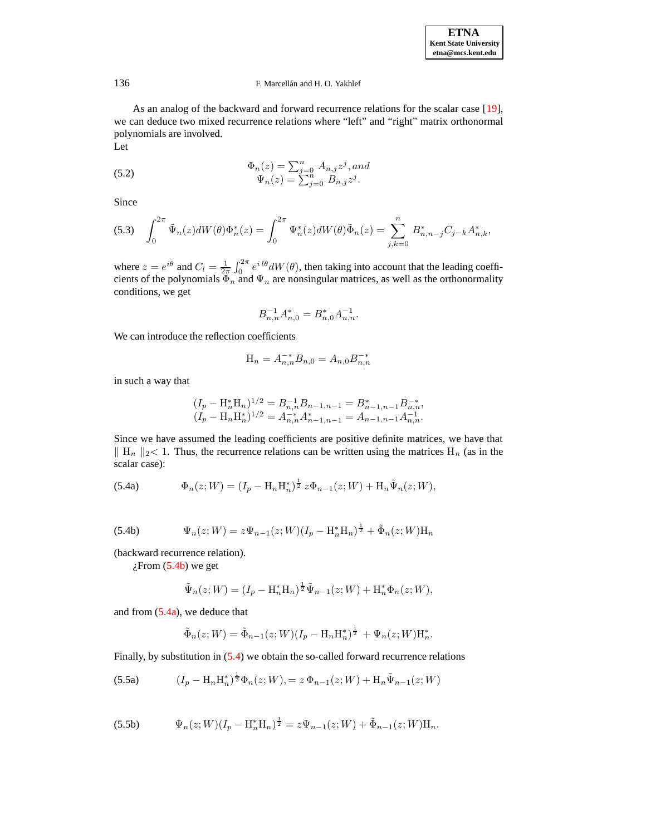As an analog of the backward and forward recurrence relations for the scalar case [\[19\]](#page-14-4), we can deduce two mixed recurrence relations where "left" and "right" matrix orthonormal polynomials are involved.

<span id="page-9-5"></span>Let

(5.2) 
$$
\Phi_n(z) = \sum_{j=0}^n A_{n,j} z^j, and \n\Psi_n(z) = \sum_{j=0}^n B_{n,j} z^j.
$$

Since

$$
(5.3) \quad \int_0^{2\pi} \tilde{\Psi}_n(z)dW(\theta)\Phi_n^*(z) = \int_0^{2\pi} \Psi_n^*(z)dW(\theta)\tilde{\Phi}_n(z) = \sum_{j,k=0}^n B_{n,n-j}^* C_{j-k} A_{n,k}^*,
$$

where  $z = e^{i\theta}$  and  $C_l = \frac{1}{2\pi} \int_0^{2\pi} e^{i l\theta} dW(\theta)$ , then taking into account that the leading coefficients of the polynomials  $\Phi_n$  and  $\Psi_n$  are nonsingular matrices, as well as the orthonormality conditions, we get

$$
B_{n,n}^{-1}A_{n,0}^* = B_{n,0}^*A_{n,n}^{-1}.
$$

We can introduce the reflection coefficients

$$
H_n = A_{n,n}^{-*} B_{n,0} = A_{n,0} B_{n,n}^{-*}
$$

in such a way that

$$
(I_p - H_n^*H_n)^{1/2} = B_{n,n}^{-1}B_{n-1,n-1} = B_{n-1,n-1}^*B_{n,n}^{-*},
$$
  

$$
(I_p - H_nH_n^*)^{1/2} = A_{n,n}^{-*}A_{n-1,n-1}^* = A_{n-1,n-1}A_{n,n}^{-1}.
$$

<span id="page-9-2"></span><span id="page-9-1"></span>Since we have assumed the leading coefficients are positive definite matrices, we have that  $\| H_n \|_{2}$  < 1. Thus, the recurrence relations can be written using the matrices H<sub>n</sub> (as in the scalar case):

<span id="page-9-0"></span>(5.4a) 
$$
\Phi_n(z;W) = (I_p - \mathcal{H}_n \mathcal{H}_n^*)^{\frac{1}{2}} z \Phi_{n-1}(z;W) + \mathcal{H}_n \tilde{\Psi}_n(z;W),
$$

(5.4b) 
$$
\Psi_n(z;W) = z\Psi_{n-1}(z;W)(I_p - \mathbf{H}_n^* \mathbf{H}_n)^{\frac{1}{2}} + \tilde{\Phi}_n(z;W)\mathbf{H}_n
$$

(backward recurrence relation).

 $i$ From [\(5.4b\)](#page-9-0) we get

$$
\tilde{\Psi}_n(z;W) = (I_p - \mathcal{H}_n^* \mathcal{H}_n)^{\frac{1}{2}} \tilde{\Psi}_{n-1}(z;W) + \mathcal{H}_n^* \Phi_n(z;W),
$$

and from [\(5.4a\)](#page-9-1), we deduce that

<span id="page-9-4"></span><span id="page-9-3"></span>
$$
\tilde{\Phi}_n(z;W) = \tilde{\Phi}_{n-1}(z;W)(I_p - \mathbf{H}_n \mathbf{H}_n^*)^{\frac{1}{2}} + \Psi_n(z;W)\mathbf{H}_n^*.
$$

Finally, by substitution in  $(5.4)$  we obtain the so-called forward recurrence relations

(5.5a) 
$$
(I_p - H_n H_n^*)^{\frac{1}{2}} \Phi_n(z;W) = z \Phi_{n-1}(z;W) + H_n \tilde{\Psi}_{n-1}(z;W)
$$

(5.5b) 
$$
\Psi_n(z;W)(I_p - \mathcal{H}_n^* \mathcal{H}_n)^{\frac{1}{2}} = z\Psi_{n-1}(z;W) + \tilde{\Phi}_{n-1}(z;W)\mathcal{H}_n.
$$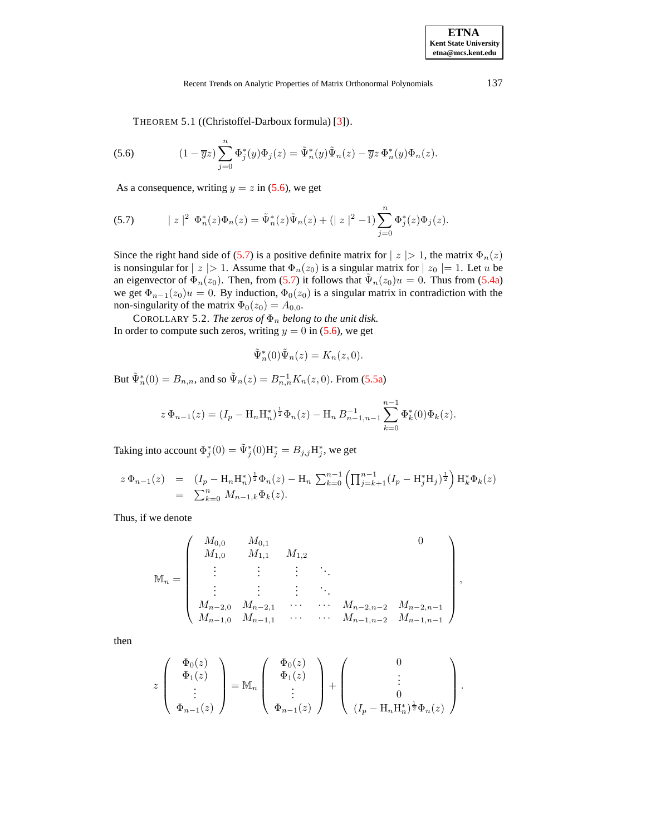<span id="page-10-1"></span><span id="page-10-0"></span>THEOREM 5.1 ((Christoffel-Darboux formula) [\[3\]](#page-13-14)).

(5.6) 
$$
(1 - \overline{y}z) \sum_{j=0}^{n} \Phi_j^*(y) \Phi_j(z) = \tilde{\Psi}_n^*(y) \tilde{\Psi}_n(z) - \overline{y}z \Phi_n^*(y) \Phi_n(z).
$$

As a consequence, writing  $y = z$  in [\(5.6\)](#page-10-0), we get

(5.7) 
$$
|z|^2 \Phi_n^*(z)\Phi_n(z) = \tilde{\Psi}_n^*(z)\tilde{\Psi}_n(z) + (|z|^2 - 1)\sum_{j=0}^n \Phi_j^*(z)\Phi_j(z).
$$

Since the right hand side of [\(5.7\)](#page-10-1) is a positive definite matrix for  $|z| > 1$ , the matrix  $\Phi_n(z)$ is nonsingular for  $|z| > 1$ . Assume that  $\Phi_n(z_0)$  is a singular matrix for  $|z_0| = 1$ . Let u be an eigenvector of  $\Phi_n(z_0)$ . Then, from [\(5.7\)](#page-10-1) it follows that  $\tilde{\Psi}_n(z_0)u = 0$ . Thus from [\(5.4a\)](#page-9-1) we get  $\Phi_{n-1}(z_0)u = 0$ . By induction,  $\Phi_0(z_0)$  is a singular matrix in contradiction with the non-singularity of the matrix  $\Phi_0(z_0) = A_{0,0}$ .

COROLLARY 5.2. *The zeros of*  $\Phi_n$  *belong to the unit disk.* In order to compute such zeros, writing  $y = 0$  in [\(5.6\)](#page-10-0), we get

$$
\tilde{\Psi}_n^*(0)\tilde{\Psi}_n(z) = K_n(z,0).
$$

But  $\tilde{\Psi}_n^*(0) = B_{n,n}$ , and so  $\tilde{\Psi}_n(z) = B_{n,n}^{-1} K_n(z, 0)$ . From [\(5.5a\)](#page-9-3)

$$
z\,\Phi_{n-1}(z) = (I_p - \mathcal{H}_n \mathcal{H}_n^*)^{\frac{1}{2}} \Phi_n(z) - \mathcal{H}_n B_{n-1,n-1}^{-1} \sum_{k=0}^{n-1} \Phi_k^*(0) \Phi_k(z).
$$

Taking into account  $\Phi_j^*(0) = \tilde{\Psi}_j^*(0) H_j^* = B_{j,j} H_j^*$ , we get

$$
\begin{array}{rcl}\nz\,\Phi_{n-1}(z) & = & (I_p - \mathrm{H}_n \mathrm{H}_n^*)^{\frac{1}{2}} \Phi_n(z) - \mathrm{H}_n \,\sum_{k=0}^{n-1} \left( \prod_{j=k+1}^{n-1} (I_p - \mathrm{H}_j^* \mathrm{H}_j)^{\frac{1}{2}} \right) \mathrm{H}_k^* \Phi_k(z) \\
 & = & \sum_{k=0}^n \, M_{n-1,k} \Phi_k(z).\n\end{array}
$$

Thus, if we denote

$$
\mathbb{M}_{n} = \begin{pmatrix} M_{0,0} & M_{0,1} & & & & 0 \\ M_{1,0} & M_{1,1} & M_{1,2} & & & \\ \vdots & \vdots & \vdots & \ddots & & \\ M_{n-2,0} & M_{n-2,1} & \cdots & M_{n-2,n-2} & M_{n-2,n-1} \\ M_{n-1,0} & M_{n-1,1} & \cdots & M_{n-1,n-2} & M_{n-1,n-1} \end{pmatrix},
$$

then

$$
z\left(\begin{array}{c}\Phi_0(z)\\ \Phi_1(z)\\ \vdots\\ \Phi_{n-1}(z)\end{array}\right)=\mathbb{M}_n\left(\begin{array}{c}\Phi_0(z)\\ \Phi_1(z)\\ \vdots\\ \Phi_{n-1}(z)\end{array}\right)+\left(\begin{array}{c}0\\ \vdots\\ 0\\ (I_p-\mathrm{H}_n\mathrm{H}_n^*)^{\frac{1}{2}}\Phi_n(z)\end{array}\right).
$$

**ETNA Kent State University etna@mcs.kent.edu**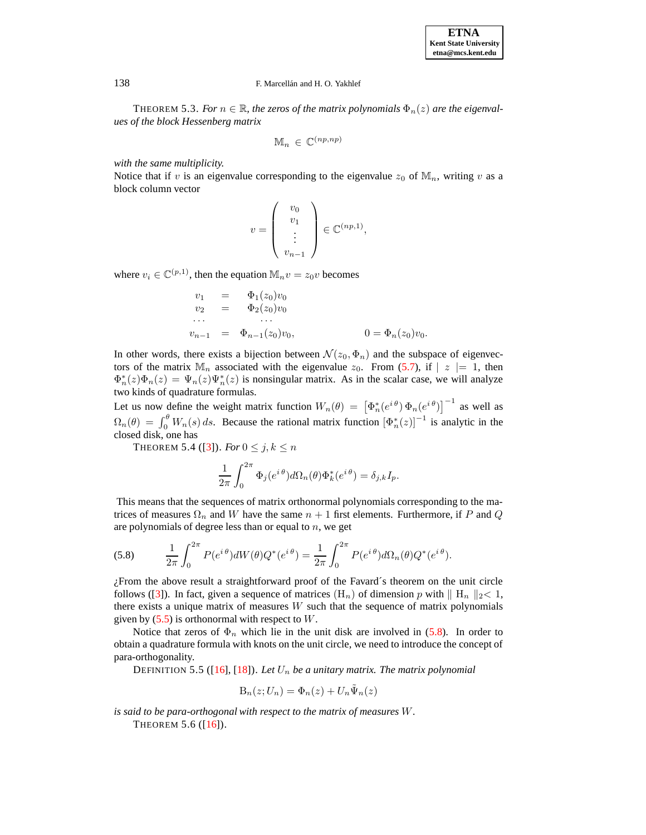THEOREM 5.3. *For*  $n \in \mathbb{R}$ *, the zeros of the matrix polynomials*  $\Phi_n(z)$  *are the eigenvalues of the block Hessenberg matrix*

$$
\mathbb{M}_n \in \mathbb{C}^{(np, np)}
$$

*with the same multiplicity.*

Notice that if v is an eigenvalue corresponding to the eigenvalue  $z_0$  of  $\mathbb{M}_n$ , writing v as a block column vector

$$
v = \left(\begin{array}{c} v_0 \\ v_1 \\ \vdots \\ v_{n-1} \end{array}\right) \in \mathbb{C}^{(np,1)},
$$

where  $v_i \in \mathbb{C}^{(p,1)}$ , then the equation  $\mathbb{M}_n v = z_0 v$  becomes

$$
v_1 = \Phi_1(z_0)v_0
$$
  
\n
$$
v_2 = \Phi_2(z_0)v_0
$$
  
\n...  
\n
$$
v_{n-1} = \Phi_{n-1}(z_0)v_0,
$$
  
\n
$$
0 = \Phi_n(z_0)v_0.
$$

In other words, there exists a bijection between  $\mathcal{N}(z_0, \Phi_n)$  and the subspace of eigenvectors of the matrix  $\mathbb{M}_n$  associated with the eigenvalue  $z_0$ . From [\(5.7\)](#page-10-1), if  $\vert z \vert = 1$ , then  $\Phi_n^*(z)\Phi_n(z) = \Psi_n(z)\Psi_n^*(z)$  is nonsingular matrix. As in the scalar case, we will analyze two kinds of quadrature formulas.

Let us now define the weight matrix function  $W_n(\theta) = \left[\Phi_n^*(e^{i\theta}) \Phi_n(e^{i\theta})\right]^{-1}$  as well as  $\Omega_n(\theta) = \int_0^{\theta} W_n(s) ds$ . Because the rational matrix function  $[\Phi_n^*(z)]^{-1}$  is analytic in the closed disk, one has

THEOREM 5.4 ([\[3\]](#page-13-14)). *For*  $0 \le j, k \le n$ 

<span id="page-11-0"></span>
$$
\frac{1}{2\pi} \int_0^{2\pi} \Phi_j(e^{i\theta}) d\Omega_n(\theta) \Phi_k^*(e^{i\theta}) = \delta_{j,k} I_p.
$$

This means that the sequences of matrix orthonormal polynomials corresponding to the matrices of measures  $\Omega_n$  and W have the same  $n + 1$  first elements. Furthermore, if P and Q are polynomials of degree less than or equal to  $n$ , we get

(5.8) 
$$
\frac{1}{2\pi} \int_0^{2\pi} P(e^{i\theta}) dW(\theta) Q^*(e^{i\theta}) = \frac{1}{2\pi} \int_0^{2\pi} P(e^{i\theta}) d\Omega_n(\theta) Q^*(e^{i\theta}).
$$

¿From the above result a straightforward proof of the Favard´s theorem on the unit circle follows ([\[3\]](#page-13-14)). In fact, given a sequence of matrices (H<sub>n</sub>) of dimension p with  $\|$  H<sub>n</sub>  $\|$ <sub>2</sub> < 1, there exists a unique matrix of measures  $W$  such that the sequence of matrix polynomials given by  $(5.5)$  is orthonormal with respect to W.

Notice that zeros of  $\Phi_n$  which lie in the unit disk are involved in [\(5.8\)](#page-11-0). In order to obtain a quadrature formula with knots on the unit circle, we need to introduce the concept of para-orthogonality.

DEFINITION 5.5 ([\[16\]](#page-13-15), [\[18\]](#page-14-0)). Let  $U_n$  be a unitary matrix. The matrix polynomial

$$
\mathrm{B}_n(z;U_n) = \Phi_n(z) + U_n \tilde{\Psi}_n(z)
$$

*is said to be para-orthogonal with respect to the matrix of measures* W*.*

THEOREM  $5.6$  ([\[16\]](#page-13-15)).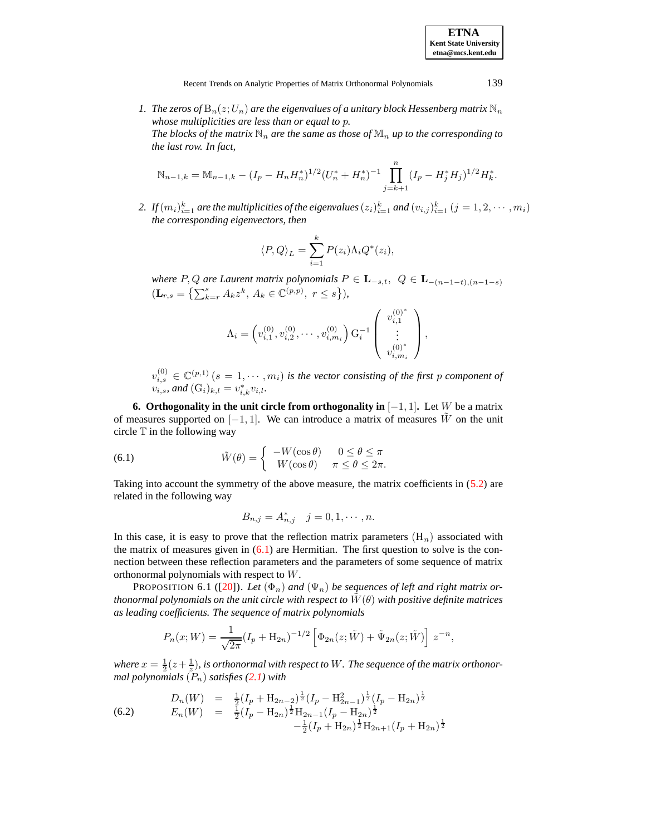**ETNA Kent State University etna@mcs.kent.edu**

Recent Trends on Analytic Properties of Matrix Orthonormal Polynomials 139

*1. The zeros of*  $B_n(z;U_n)$  *are the eigenvalues of a unitary block Hessenberg matrix*  $\mathbb{N}_n$ *whose multiplicities are less than or equal to* p*. The blocks of the matrix*  $\mathbb{N}_n$  *are the same as those of*  $\mathbb{M}_n$  *up to the corresponding to the last row. In fact,*

$$
\mathbb{N}_{n-1,k} = \mathbb{M}_{n-1,k} - (I_p - H_n H_n^*)^{1/2} (U_n^* + H_n^*)^{-1} \prod_{j=k+1}^n (I_p - H_j^* H_j)^{1/2} H_k^*.
$$

2. If  $(m_i)_{i=1}^k$  are the multiplicities of the eigenvalues  $(z_i)_{i=1}^k$  and  $(v_{i,j})_{i=1}^k$   $(j = 1, 2, \cdots, m_i)$ *the corresponding eigenvectors, then*

$$
\langle P, Q \rangle_L = \sum_{i=1}^k P(z_i) \Lambda_i Q^*(z_i),
$$

*where* P, Q are Laurent matrix polynomials  $P \in L_{-s,t}$ ,  $Q \in L_{-(n-1-t),(n-1-s)}$  $(\mathbf{L}_{r,s} = \left\{ \sum_{k=r}^{s} A_k z^k, A_k \in \mathbb{C}^{(p,p)}, r \leq s \right\}),$ 

$$
\Lambda_i = \left( v_{i,1}^{(0)}, v_{i,2}^{(0)}, \cdots, v_{i,m_i}^{(0)} \right) \mathbf{G}_i^{-1} \left( \begin{array}{c} v_{i,1}^{(0)^*} \\ \vdots \\ v_{i,m_i}^{(0)^*} \end{array} \right),
$$

<span id="page-12-0"></span> $v_{i,s}^{(0)} \in \mathbb{C}^{(p,1)}$   $(s = 1, \dots, m_i)$  is the vector consisting of the first p component of  $v_{i,s}$ *, and*  $(G_i)_{k,l} = v_{i,k}^* v_{i,l}$ *.* 

**6. Orthogonality** in the unit circle from orthogonality in  $[-1, 1]$ . Let W be a matrix of measures supported on  $[-1, 1]$ . We can introduce a matrix of measures W on the unit circle  $T$  in the following way

(6.1) 
$$
\tilde{W}(\theta) = \begin{cases}\n-W(\cos \theta) & 0 \le \theta \le \pi \\
W(\cos \theta) & \pi \le \theta \le 2\pi.\n\end{cases}
$$

Taking into account the symmetry of the above measure, the matrix coefficients in [\(5.2\)](#page-9-5) are related in the following way

$$
B_{n,j} = A_{n,j}^* \quad j = 0, 1, \cdots, n.
$$

In this case, it is easy to prove that the reflection matrix parameters  $(H_n)$  associated with the matrix of measures given in  $(6.1)$  are Hermitian. The first question to solve is the connection between these reflection parameters and the parameters of some sequence of matrix orthonormal polynomials with respect to W.

**PROPOSITION 6.1 ([\[20\]](#page-14-5)).** Let  $(\Phi_n)$  and  $(\Psi_n)$  be sequences of left and right matrix or*thonormal polynomials on the unit circle with respect to*  $W(\theta)$  *with positive definite matrices as leading coefficients. The sequence of matrix polynomials*

$$
P_n(x;W) = \frac{1}{\sqrt{2\pi}} (I_p + H_{2n})^{-1/2} \left[ \Phi_{2n}(z;\tilde{W}) + \tilde{\Psi}_{2n}(z;\tilde{W}) \right] z^{-n},
$$

where  $x = \frac{1}{2}(z + \frac{1}{z})$ , is orthonormal with respect to W . The sequence of the matrix orthonor*mal polynomials*  $(P_n)$  *satisfies*  $(2.1)$  *with* 

(6.2) 
$$
D_n(W) = \frac{1}{2} (I_p + H_{2n-2})^{\frac{1}{2}} (I_p - H_{2n-1}^2)^{\frac{1}{2}} (I_p - H_{2n})^{\frac{1}{2}}
$$

$$
E_n(W) = \frac{1}{2} (I_p - H_{2n})^{\frac{1}{2}} H_{2n-1} (I_p - H_{2n})^{\frac{1}{2}}
$$

$$
-\frac{1}{2} (I_p + H_{2n})^{\frac{1}{2}} H_{2n+1} (I_p + H_{2n})^{\frac{1}{2}}
$$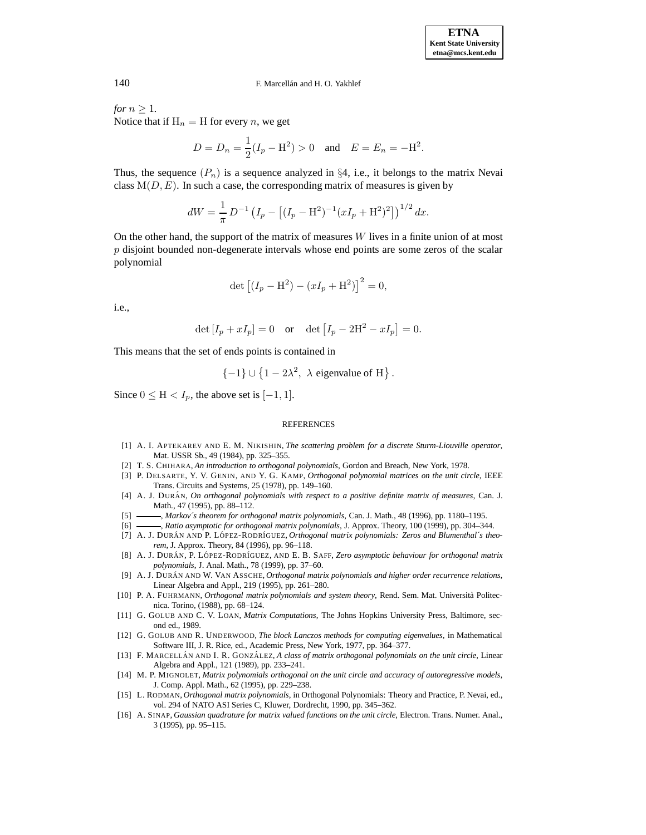*for*  $n \geq 1$ *.* Notice that if  $H_n = H$  for every n, we get

$$
D = D_n = \frac{1}{2}(I_p - H^2) > 0
$$
 and  $E = E_n = -H^2$ .

Thus, the sequence  $(P_n)$  is a sequence analyzed in §4, i.e., it belongs to the matrix Nevai class  $M(D, E)$ . In such a case, the corresponding matrix of measures is given by

$$
dW = \frac{1}{\pi} D^{-1} \left( I_p - \left[ (I_p - \mathbf{H}^2)^{-1} (xI_p + \mathbf{H}^2)^2 \right] \right)^{1/2} dx.
$$

On the other hand, the support of the matrix of measures W lives in a finite union of at most  $p$  disjoint bounded non-degenerate intervals whose end points are some zeros of the scalar polynomial

$$
\det [(I_p - H^2) - (xI_p + H^2)]^2 = 0,
$$

i.e.,

$$
\det [I_p + xI_p] = 0 \text{ or } \det [I_p - 2H^2 - xI_p] = 0.
$$

This means that the set of ends points is contained in

$$
\{-1\} \cup \left\{1 - 2\lambda^2, \lambda \text{ eigenvalue of H}\right\}.
$$

Since  $0 \leq H < I_p$ , the above set is  $[-1, 1]$ .

#### **REFERENCES**

- <span id="page-13-7"></span>[1] A. I. APTEKAREV AND E. M. NIKISHIN, *The scattering problem for a discrete Sturm-Liouville operator*, Mat. USSR Sb., 49 (1984), pp. 325–355.
- <span id="page-13-14"></span><span id="page-13-8"></span>[2] T. S. CHIHARA, *An introduction to orthogonal polynomials*, Gordon and Breach, New York, 1978.
- [3] P. DELSARTE, Y. V. GENIN, AND Y. G. KAMP, *Orthogonal polynomial matrices on the unit circle*, IEEE Trans. Circuits and Systems, 25 (1978), pp. 149–160.
- <span id="page-13-9"></span>[4] A. J. DURA´ N, *On orthogonal polynomials with respect to a positive definite matrix of measures*, Can. J. Math., 47 (1995), pp. 88–112.
- <span id="page-13-12"></span><span id="page-13-11"></span>[5] , *Markov´s theorem for orthogonal matrix polynomials*, Can. J. Math., 48 (1996), pp. 1180–1195.
- [6] , *Ratio asymptotic for orthogonal matrix polynomials*, J. Approx. Theory, 100 (1999), pp. 304–344.
- <span id="page-13-10"></span>[7] A. J. DURÁN AND P. LÓPEZ-RODRÍGUEZ, Orthogonal matrix polynomials: Zeros and Blumenthal's theo*rem*, J. Approx. Theory, 84 (1996), pp. 96–118.
- <span id="page-13-13"></span>[8] A. J. DURA´ N, P. LO´ PEZ-RODR´IGUEZ, AND E. B. SAFF, *Zero asymptotic behaviour for orthogonal matrix polynomials*, J. Anal. Math., 78 (1999), pp. 37–60.
- <span id="page-13-2"></span>[9] A. J. DURA´ N AND W. VAN ASSCHE, *Orthogonal matrix polynomials and higher order recurrence relations*, Linear Algebra and Appl., 219 (1995), pp. 261–280.
- <span id="page-13-3"></span>[10] P. A. FUHRMANN, *Orthogonal matrix polynomials and system theory*, Rend. Sem. Mat. Universita` Politecnica. Torino, (1988), pp. 68–124.
- <span id="page-13-0"></span>[11] G. GOLUB AND C. V. LOAN, *Matrix Computations*, The Johns Hopkins University Press, Baltimore, second ed., 1989.
- <span id="page-13-1"></span>[12] G. GOLUB AND R. UNDERWOOD, *The block Lanczos methods for computing eigenvalues*, in Mathematical Software III, J. R. Rice, ed., Academic Press, New York, 1977, pp. 364–377.
- <span id="page-13-5"></span>[13] F. MARCELLA´ N AND I. R. GONZA´ LEZ, *A class of matrix orthogonal polynomials on the unit circle*, Linear Algebra and Appl., 121 (1989), pp. 233–241.
- <span id="page-13-4"></span>[14] M. P. MIGNOLET, *Matrix polynomials orthogonal on the unit circle and accuracy of autoregressive models*, J. Comp. Appl. Math., 62 (1995), pp. 229–238.
- <span id="page-13-6"></span>[15] L. RODMAN, *Orthogonal matrix polynomials*, in Orthogonal Polynomials: Theory and Practice, P. Nevai, ed., vol. 294 of NATO ASI Series C, Kluwer, Dordrecht, 1990, pp. 345–362.
- <span id="page-13-15"></span>[16] A. SINAP, *Gaussian quadrature for matrix valued functions on the unit circle*, Electron. Trans. Numer. Anal., 3 (1995), pp. 95–115.